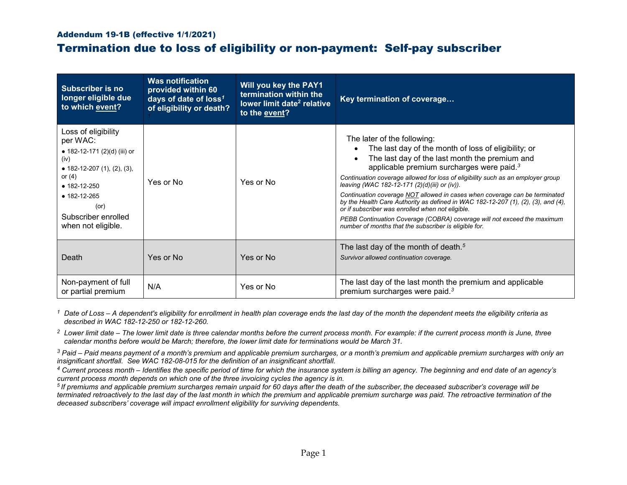## Addendum 19-1B (effective 1/1/2021)

## Termination due to loss of eligibility or non-payment: Self-pay subscriber

| <b>Subscriber is no</b><br>longer eligible due<br>to which event?                                                                                                                                                                  | <b>Was notification</b><br>provided within 60<br>days of date of loss <sup>1</sup><br>of eligibility or death? | Will you key the PAY1<br>termination within the<br>lower limit date <sup>2</sup> relative<br>to the event? | Key termination of coverage                                                                                                                                                                                                                                                                                                                                                                                                                                                                                                                                                                                                                                                                                            |
|------------------------------------------------------------------------------------------------------------------------------------------------------------------------------------------------------------------------------------|----------------------------------------------------------------------------------------------------------------|------------------------------------------------------------------------------------------------------------|------------------------------------------------------------------------------------------------------------------------------------------------------------------------------------------------------------------------------------------------------------------------------------------------------------------------------------------------------------------------------------------------------------------------------------------------------------------------------------------------------------------------------------------------------------------------------------------------------------------------------------------------------------------------------------------------------------------------|
| Loss of eligibility<br>per WAC:<br>• 182-12-171 (2)(d) (iii) or<br>(iv)<br>• 182-12-207 $(1)$ , $(2)$ , $(3)$ ,<br>or $(4)$<br>$• 182 - 12 - 250$<br>$• 182 - 12 - 265$<br>$($ or $)$<br>Subscriber enrolled<br>when not eligible. | Yes or No                                                                                                      | Yes or No                                                                                                  | The later of the following:<br>The last day of the month of loss of eligibility; or<br>The last day of the last month the premium and<br>$\bullet$<br>applicable premium surcharges were paid. <sup>3</sup><br>Continuation coverage allowed for loss of eligibility such as an employer group<br>leaving (WAC 182-12-171 (2)(d)(iii) or (iv)).<br>Continuation coverage NOT allowed in cases when coverage can be terminated<br>by the Health Care Authority as defined in WAC 182-12-207 $(1)$ , $(2)$ , $(3)$ , and $(4)$ ,<br>or if subscriber was enrolled when not eligible.<br>PEBB Continuation Coverage (COBRA) coverage will not exceed the maximum<br>number of months that the subscriber is eligible for. |
| Death                                                                                                                                                                                                                              | Yes or No                                                                                                      | Yes or No                                                                                                  | The last day of the month of death. $5$<br>Survivor allowed continuation coverage.                                                                                                                                                                                                                                                                                                                                                                                                                                                                                                                                                                                                                                     |
| Non-payment of full<br>or partial premium                                                                                                                                                                                          | N/A                                                                                                            | Yes or No                                                                                                  | The last day of the last month the premium and applicable<br>premium surcharges were paid. <sup>3</sup>                                                                                                                                                                                                                                                                                                                                                                                                                                                                                                                                                                                                                |

*<sup>1</sup> Date of Loss – A dependent's eligibility for enrollment in health plan coverage ends the last day of the month the dependent meets the eligibility criteria as described in WAC 182-12-250 or 182-12-260.*

*2 Lower limit date – The lower limit date is three calendar months before the current process month. For example: if the current process month is June, three calendar months before would be March; therefore, the lower limit date for terminations would be March 31.*

*<sup>3</sup> Paid – Paid means payment of a month's premium and applicable premium surcharges, or a month's premium and applicable premium surcharges with only an* 

4 Current process month – Identifies the specific period of time for which the insurance system is billing an agency. The beginning and end date of an agency's *current process month depends on which one of the three invoicing cycles the agency is in.*

*5 If premiums and applicable premium surcharges remain unpaid for 60 days after the death of the subscriber, the deceased subscriber's coverage will be terminated retroactively to the last day of the last month in which the premium and applicable premium surcharge was paid. The retroactive termination of the deceased subscribers' coverage will impact enrollment eligibility for surviving dependents.*